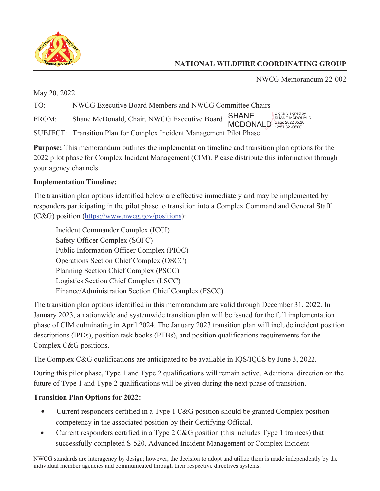

### **NATIONAL WILDFIRE COORDINATING GROUP**

NWCG Memorandum 22-002

Digitally signed by<br>SHANE MCDONALD

May 20, 2022

TO: NWCG Executive Board Members and NWCG Committee Chairs

FROM: Shane McDonald, Chair, NWCG Executive Board SHANE

Date: 2022.05.20 12:51:32 -06'00'

SUBJECT: Transition Plan for Complex Incident Management Pilot Phase

**Purpose:** This memorandum outlines the implementation timeline and transition plan options for the 2022 pilot phase for Complex Incident Management (CIM). Please distribute this information through your agency channels.

### **Implementation Timeline:**

The transition plan options identified below are effective immediately and may be implemented by responders participating in the pilot phase to transition into a Complex Command and General Staff (C&G) position ([https://www.nwcg.gov/positions\)](https://www.nwcg.gov/positions):

Incident Commander Complex (ICCI) Safety Officer Complex (SOFC) Public Information Officer Complex (PIOC) Operations Section Chief Complex (OSCC) Planning Section Chief Complex (PSCC) Logistics Section Chief Complex (LSCC) Finance/Administration Section Chief Complex (FSCC)

The transition plan options identified in this memorandum are valid through December 31, 2022. In January 2023, a nationwide and systemwide transition plan will be issued for the full implementation phase of CIM culminating in April 2024. The January 2023 transition plan will include incident position descriptions (IPDs), position task books (PTBs), and position qualifications requirements for the Complex C&G positions.

The Complex C&G qualifications are anticipated to be available in IQS/IQCS by June 3, 2022.

During this pilot phase, Type 1 and Type 2 qualifications will remain active. Additional direction on the future of Type 1 and Type 2 qualifications will be given during the next phase of transition.

# **Transition Plan Options for 2022:**

- Current responders certified in a Type 1 C&G position should be granted Complex position competency in the associated position by their Certifying Official. •
- Current responders certified in a Type 2 C&G position (this includes Type 1 trainees) that successfully completed S-520, Advanced Incident Management or Complex Incident

NWCG standards are interagency by design; however, the decision to adopt and utilize them is made independently by the individual member agencies and communicated through their respective directives systems.